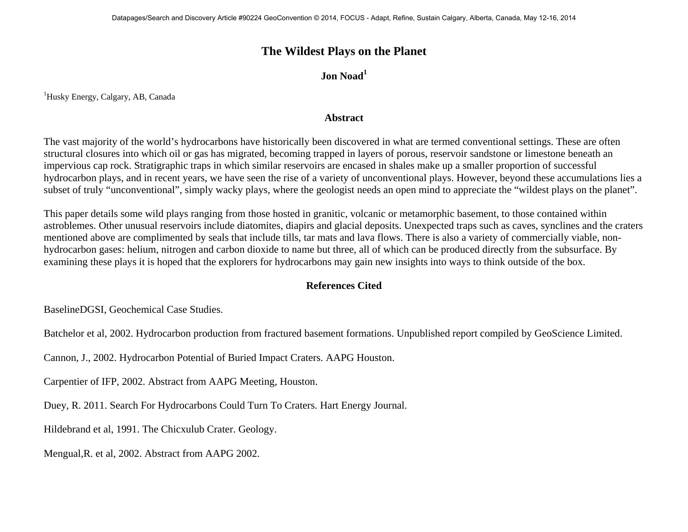## **The Wildest Plays on the Planet**

## **Jon Noad**<sup>1</sup>

<sup>1</sup>Husky Energy, Calgary, AB, Canada

## **Abstract**

The vast majority of the world's hydrocarbons have historically been discovered in what are termed conventional settings. These are often structural closures into which oil or gas has migrated, becoming trapped in layers of porous, reservoir sandstone or limestone beneath an impervious cap rock. Stratigraphic traps in which similar reservoirs are encased in shales make up a smaller proportion of successful hydrocarbon plays, and in recent years, we have seen the rise of a variety of unconventional plays. However, beyond these accumulations lies a subset of truly "unconventional", simply wacky plays, where the geologist needs an open mind to appreciate the "wildest plays on the planet".

This paper details some wild plays ranging from those hosted in granitic, volcanic or metamorphic basement, to those contained within astroblemes. Other unusual reservoirs include diatomites, diapirs and glacial deposits. Unexpected traps such as caves, synclines and the craters mentioned above are complimented by seals that include tills, tar mats and lava flows. There is also a variety of commercially viable, nonhydrocarbon gases: helium, nitrogen and carbon dioxide to name but three, all of which can be produced directly from the subsurface. By examining these plays it is hoped that the explorers for hydrocarbons may gain new insights into ways to think outside of the box.

## **References Cited**

BaselineDGSI, Geochemical Case Studies.

Batchelor et al, 2002. Hydrocarbon production from fractured basement formations. Unpublished report compiled by GeoScience Limited.

Cannon, J., 2002. Hydrocarbon Potential of Buried Impact Craters. AAPG Houston.

Carpentier of IFP, 2002. Abstract from AAPG Meeting, Houston.

Duey, R. 2011. Search For Hydrocarbons Could Turn To Craters. Hart Energy Journal.

Hildebrand et al, 1991. The Chicxulub Crater. Geology.

Mengual,R. et al, 2002. Abstract from AAPG 2002.